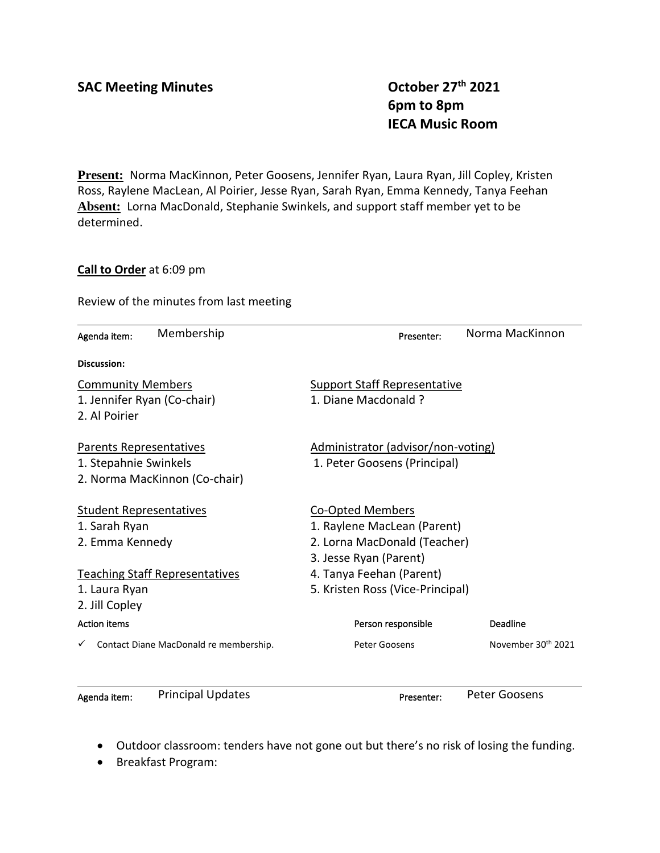**6pm to 8pm IECA Music Room**

**Present:** Norma MacKinnon, Peter Goosens, Jennifer Ryan, Laura Ryan, Jill Copley, Kristen Ross, Raylene MacLean, Al Poirier, Jesse Ryan, Sarah Ryan, Emma Kennedy, Tanya Feehan **Absent:** Lorna MacDonald, Stephanie Swinkels, and support staff member yet to be determined.

## **Call to Order** at 6:09 pm

Review of the minutes from last meeting

| Membership<br>Agenda item:                  | Norma MacKinnon<br>Presenter:                   |  |  |  |
|---------------------------------------------|-------------------------------------------------|--|--|--|
| <b>Discussion:</b>                          |                                                 |  |  |  |
| <b>Community Members</b>                    | <b>Support Staff Representative</b>             |  |  |  |
| 1. Jennifer Ryan (Co-chair)                 | 1. Diane Macdonald ?                            |  |  |  |
| 2. Al Poirier                               |                                                 |  |  |  |
| Parents Representatives                     | Administrator (advisor/non-voting)              |  |  |  |
| 1. Stepahnie Swinkels                       | 1. Peter Goosens (Principal)                    |  |  |  |
| 2. Norma MacKinnon (Co-chair)               |                                                 |  |  |  |
| <b>Student Representatives</b>              | Co-Opted Members                                |  |  |  |
| 1. Sarah Ryan                               | 1. Raylene MacLean (Parent)                     |  |  |  |
| 2. Emma Kennedy                             | 2. Lorna MacDonald (Teacher)                    |  |  |  |
|                                             | 3. Jesse Ryan (Parent)                          |  |  |  |
| <b>Teaching Staff Representatives</b>       | 4. Tanya Feehan (Parent)                        |  |  |  |
| 1. Laura Ryan                               | 5. Kristen Ross (Vice-Principal)                |  |  |  |
| 2. Jill Copley                              |                                                 |  |  |  |
| <b>Action items</b>                         | Person responsible<br>Deadline                  |  |  |  |
| Contact Diane MacDonald re membership.<br>✓ | November 30 <sup>th</sup> 2021<br>Peter Goosens |  |  |  |
| <b>Principal Updates</b><br>Agenda item:    | <b>Peter Goosens</b><br>Presenter:              |  |  |  |

- Outdoor classroom: tenders have not gone out but there's no risk of losing the funding.
- Breakfast Program: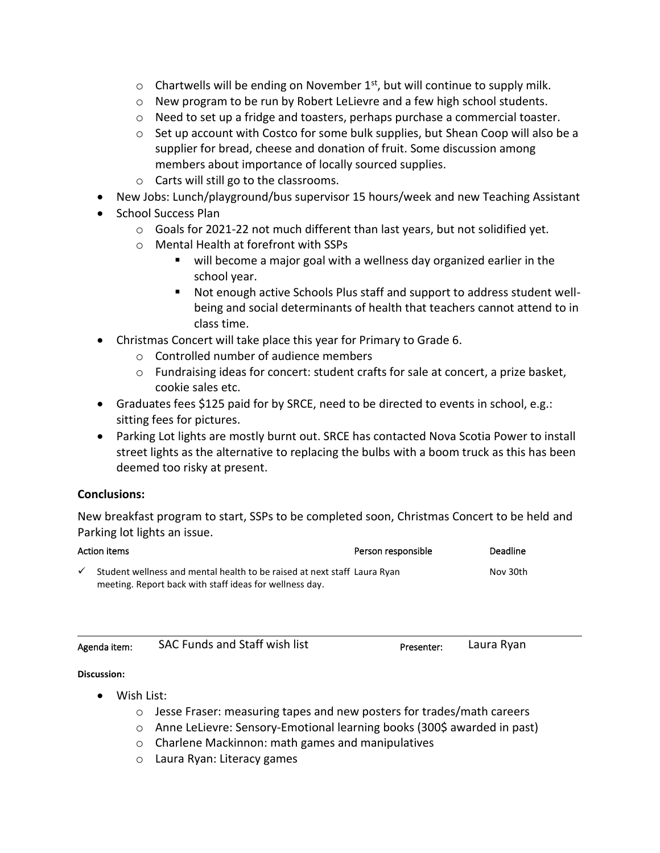- $\circ$  Chartwells will be ending on November 1<sup>st</sup>, but will continue to supply milk.
- $\circ$  New program to be run by Robert LeLievre and a few high school students.
- $\circ$  Need to set up a fridge and toasters, perhaps purchase a commercial toaster.
- $\circ$  Set up account with Costco for some bulk supplies, but Shean Coop will also be a supplier for bread, cheese and donation of fruit. Some discussion among members about importance of locally sourced supplies.
- o Carts will still go to the classrooms.
- New Jobs: Lunch/playground/bus supervisor 15 hours/week and new Teaching Assistant
- School Success Plan
	- $\circ$  Goals for 2021-22 not much different than last years, but not solidified yet.
	- o Mental Health at forefront with SSPs
		- will become a major goal with a wellness day organized earlier in the school year.
		- Not enough active Schools Plus staff and support to address student wellbeing and social determinants of health that teachers cannot attend to in class time.
- Christmas Concert will take place this year for Primary to Grade 6.
	- o Controlled number of audience members
	- $\circ$  Fundraising ideas for concert: student crafts for sale at concert, a prize basket, cookie sales etc.
- Graduates fees \$125 paid for by SRCE, need to be directed to events in school, e.g.: sitting fees for pictures.
- Parking Lot lights are mostly burnt out. SRCE has contacted Nova Scotia Power to install street lights as the alternative to replacing the bulbs with a boom truck as this has been deemed too risky at present.

# **Conclusions:**

New breakfast program to start, SSPs to be completed soon, Christmas Concert to be held and Parking lot lights an issue.

| Action items |                                                                                                                                     | Person responsible | <b>Deadline</b> |
|--------------|-------------------------------------------------------------------------------------------------------------------------------------|--------------------|-----------------|
|              | Student wellness and mental health to be raised at next staff Laura Ryan<br>meeting. Report back with staff ideas for wellness day. |                    | Nov 30th        |

| Agenda item: | SAC Funds and Staff wish list |  |
|--------------|-------------------------------|--|
|--------------|-------------------------------|--|

Presenter: Laura Ryan

### **Discussion:**

- Wish List:
	- o Jesse Fraser: measuring tapes and new posters for trades/math careers
	- o Anne LeLievre: Sensory-Emotional learning books (300\$ awarded in past)
	- o Charlene Mackinnon: math games and manipulatives
	- o Laura Ryan: Literacy games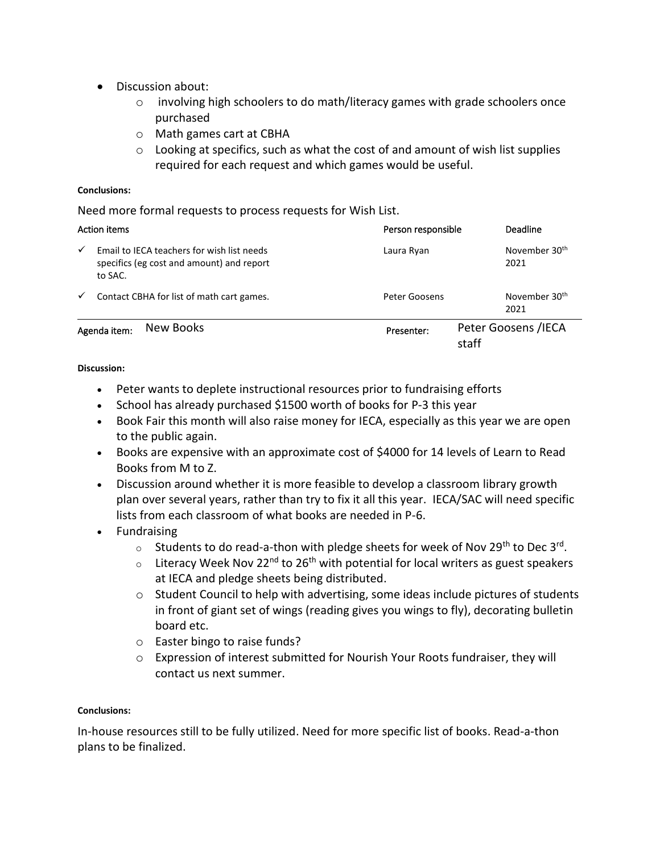- Discussion about:
	- $\circ$  involving high schoolers to do math/literacy games with grade schoolers once purchased
	- o Math games cart at CBHA
	- $\circ$  Looking at specifics, such as what the cost of and amount of wish list supplies required for each request and which games would be useful.

### **Conclusions:**

Need more formal requests to process requests for Wish List.

| <b>Action items</b> |                                                                                                    | Person responsible | Deadline                          |
|---------------------|----------------------------------------------------------------------------------------------------|--------------------|-----------------------------------|
| ✓                   | Email to IECA teachers for wish list needs<br>specifics (eg cost and amount) and report<br>to SAC. | Laura Ryan         | November 30 <sup>th</sup><br>2021 |
| $\checkmark$        | Contact CBHA for list of math cart games.                                                          | Peter Goosens      | November 30 <sup>th</sup><br>2021 |
|                     | New Books<br>Agenda item:                                                                          | Presenter:         | Peter Goosens / IECA<br>staff     |

**Discussion:**

- Peter wants to deplete instructional resources prior to fundraising efforts
- School has already purchased \$1500 worth of books for P-3 this year
- Book Fair this month will also raise money for IECA, especially as this year we are open to the public again.
- Books are expensive with an approximate cost of \$4000 for 14 levels of Learn to Read Books from M to Z.
- Discussion around whether it is more feasible to develop a classroom library growth plan over several years, rather than try to fix it all this year. IECA/SAC will need specific lists from each classroom of what books are needed in P-6.
- Fundraising
	- $\circ$  Students to do read-a-thon with pledge sheets for week of Nov 29<sup>th</sup> to Dec 3<sup>rd</sup>.
	- $\circ$  Literacy Week Nov 22<sup>nd</sup> to 26<sup>th</sup> with potential for local writers as guest speakers at IECA and pledge sheets being distributed.
	- $\circ$  Student Council to help with advertising, some ideas include pictures of students in front of giant set of wings (reading gives you wings to fly), decorating bulletin board etc.
	- o Easter bingo to raise funds?
	- o Expression of interest submitted for Nourish Your Roots fundraiser, they will contact us next summer.

### **Conclusions:**

In-house resources still to be fully utilized. Need for more specific list of books. Read-a-thon plans to be finalized.